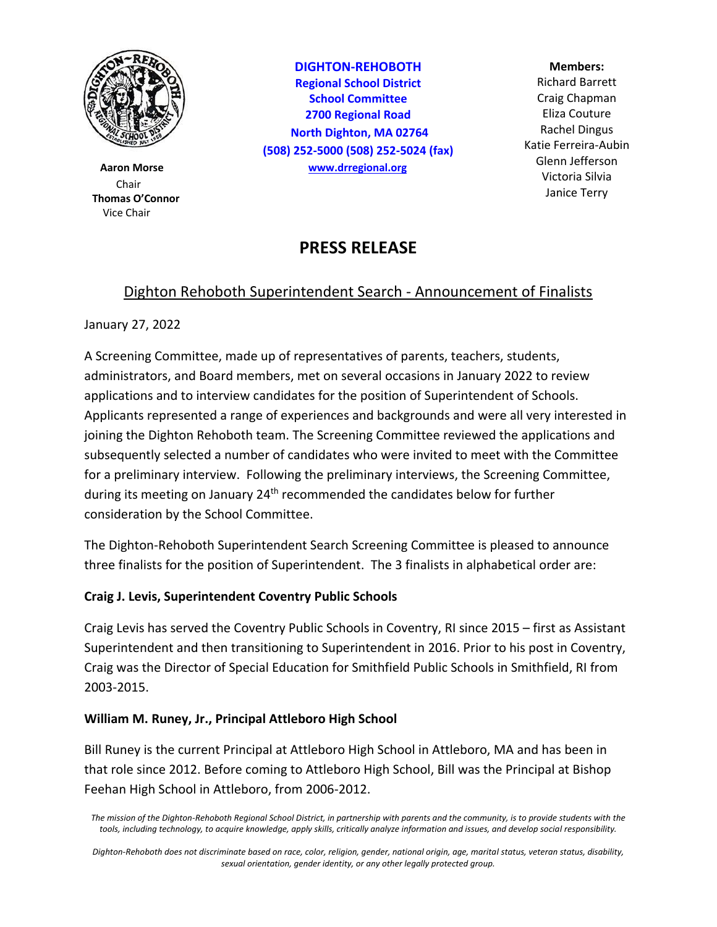

 **Thomas O'Connor** Vice Chair

**DIGHTON-REHOBOTH Regional School District School Committee 2700 Regional Road North Dighton, MA 02764 (508) 252-5000 (508) 252-5024 (fax) Aaron Morse [www.drregional.org](http://www.drregional.org/)**

#### **Members:**

Chair and the contract of the contract of the contract of the contract of the contract of the contract of the contract of the contract of the contract of the contract of the contract of the contract of the contract of the Richard Barrett Craig Chapman Eliza Couture Rachel Dingus Katie Ferreira-Aubin Glenn Jefferson Victoria Silvia Janice Terry

# **PRESS RELEASE**

## Dighton Rehoboth Superintendent Search - Announcement of Finalists

January 27, 2022

A Screening Committee, made up of representatives of parents, teachers, students, administrators, and Board members, met on several occasions in January 2022 to review applications and to interview candidates for the position of Superintendent of Schools. Applicants represented a range of experiences and backgrounds and were all very interested in joining the Dighton Rehoboth team. The Screening Committee reviewed the applications and subsequently selected a number of candidates who were invited to meet with the Committee for a preliminary interview. Following the preliminary interviews, the Screening Committee, during its meeting on January 24<sup>th</sup> recommended the candidates below for further consideration by the School Committee.

The Dighton-Rehoboth Superintendent Search Screening Committee is pleased to announce three finalists for the position of Superintendent. The 3 finalists in alphabetical order are:

### **Craig J. Levis, Superintendent Coventry Public Schools**

Craig Levis has served the Coventry Public Schools in Coventry, RI since 2015 – first as Assistant Superintendent and then transitioning to Superintendent in 2016. Prior to his post in Coventry, Craig was the Director of Special Education for Smithfield Public Schools in Smithfield, RI from 2003-2015.

### **William M. Runey, Jr., Principal Attleboro High School**

Bill Runey is the current Principal at Attleboro High School in Attleboro, MA and has been in that role since 2012. Before coming to Attleboro High School, Bill was the Principal at Bishop Feehan High School in Attleboro, from 2006-2012.

*Dighton-Rehoboth does not discriminate based on race, color, religion, gender, national origin, age, marital status, veteran status, disability, sexual orientation, gender identity, or any other legally protected group.*

*The mission of the Dighton-Rehoboth Regional School District, in partnership with parents and the community, is to provide students with the tools, including technology, to acquire knowledge, apply skills, critically analyze information and issues, and develop social responsibility.*